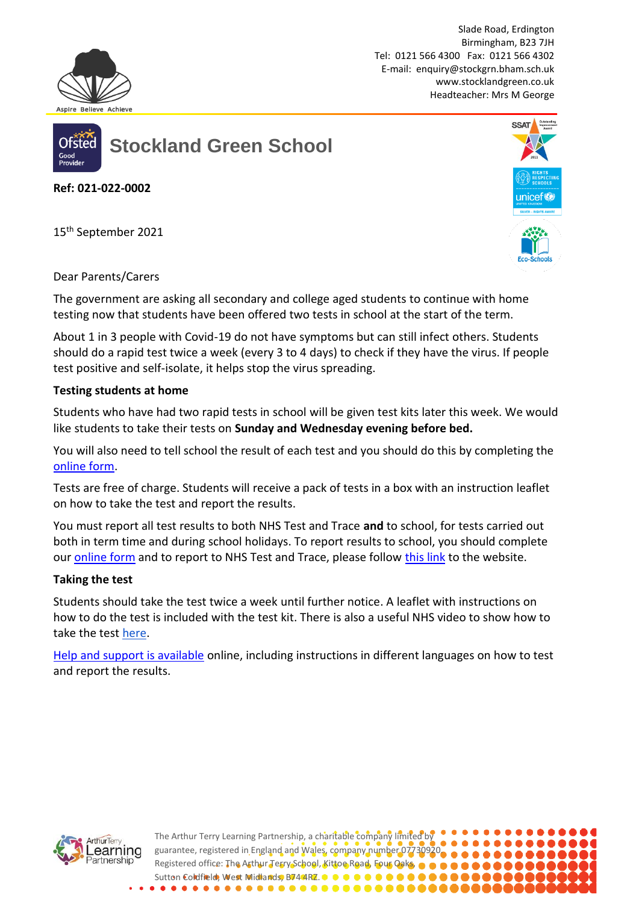

Slade Road, Erdington Birmingham, B23 7JH Tel: 0121 566 4300 Fax: 0121 566 4302 E-mail: [enquiry@stockgrn.bham.sch.uk](mailto:enquiry@stockgrn.bham.sch.uk) [www.stocklandgreen.co.uk](http://www.stocklandgreen.co.uk/) Headteacher: Mrs M George



**Stockland Green School**

**Ref: 021-022-0002**

15 th September 2021





Dear Parents/Carers

The government are asking all secondary and college aged students to continue with home testing now that students have been offered two tests in school at the start of the term.

About 1 in 3 people with Covid-19 do not have symptoms but can still infect others. Students should do a rapid test twice a week (every 3 to 4 days) to check if they have the virus. If people test positive and self-isolate, it helps stop the virus spreading.

#### **Testing students at home**

Students who have had two rapid tests in school will be given test kits later this week. We would like students to take their tests on **Sunday and Wednesday evening before bed.**

You will also need to tell school the result of each test and you should do this by completing the [online form.](https://docs.google.com/forms/d/e/1FAIpQLSe3n7I2N-2X7wporNhrnNwIGDGeKfBqWk0xp5LvUomIrUmUGg/viewform)

Tests are free of charge. Students will receive a pack of tests in a box with an instruction leaflet on how to take the test and report the results.

You must report all test results to both NHS Test and Trace **and** to school, for tests carried out both in term time and during school holidays. To report results to school, you should complete our [online form](https://docs.google.com/forms/d/e/1FAIpQLSe3n7I2N-2X7wporNhrnNwIGDGeKfBqWk0xp5LvUomIrUmUGg/viewform) and to report to NHS Test and Trace, please follow [this link](http://www.gov.uk/report-covid19-result) to the website.

# **Taking the test**

Students should take the test twice a week until further notice. A leaflet with instructions on how to do the test is included with the test kit. There is also a useful NHS video to show how to take the test [here.](https://www.youtube.com/watch?v=S9XR8RZxKNo&list=PLvaBZskxS7tzQYlVg7lwH5uxAD9UrSzGJ&index=1)

[Help and support is available](https://www.gov.uk/guidance/covid-19-self-test-help) online, including instructions in different languages on how to test and report the results.

> The Arthur Terry Learning Partnership, a charitable company limited by guarantee, registered in England and Wales, company number 07730920. Registered office: The Arthur Terry School, Kittoe Road, Four Oaks, Sutton Coldfield, West Midlands, B74 4RZ.

> > $\bullet$

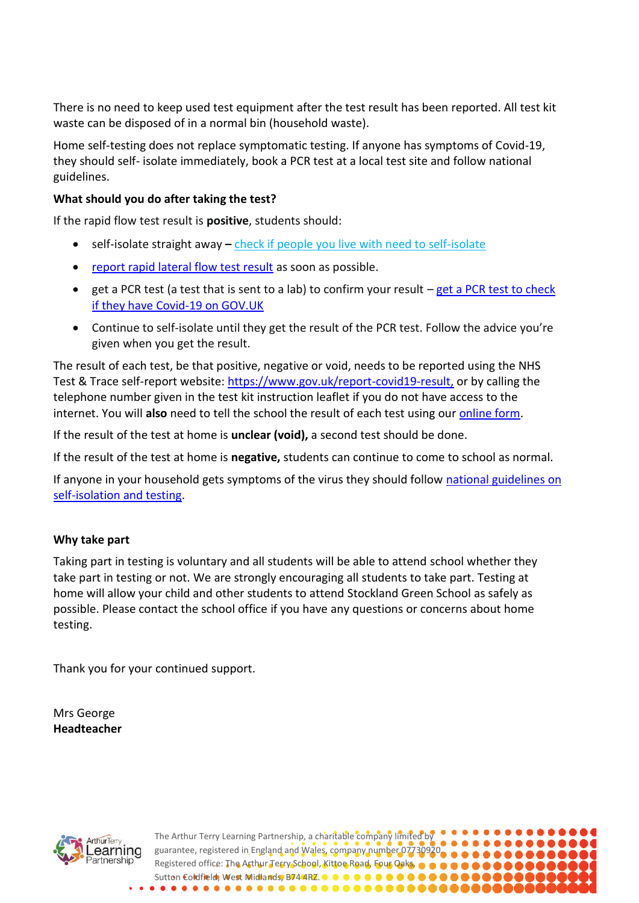There is no need to keep used test equipment after the test result has been reported. All test kit waste can be disposed of in a normal bin (household waste).

Home self-testing does not replace symptomatic testing. If anyone has symptoms of Covid-19, they should self- isolate immediately, book a [PCR test](https://www.gov.uk/get-coronavirus-test%22%20/t%20%22_blank) at a local test site and follow [national](https://www.nhs.uk/conditions/coronavirus-covid-19/symptoms/%22%20/t%20%22_blank)  [guidelines.](https://www.nhs.uk/conditions/coronavirus-covid-19/symptoms/%22%20/t%20%22_blank)

#### **What should you do after taking the test?**

If the rapid flow test result is **positive**, students should:

- self-isolate straight away **–** [check if people you live with need to self-isolate](https://www.nhs.uk/conditions/coronavirus-covid-19/self-isolation-and-treatment/when-to-self-isolate-and-what-to-do/)
- [report rapid lateral flow test result](https://www.nhs.uk/conditions/coronavirus-covid-19/testing/test-results/report-a-rapid-lateral-flow-test-result/) as soon as possible.
- get a PCR test (a test that is sent to a lab) to confirm your result [get a PCR test to check](https://www.gov.uk/get-coronavirus-test)  [if they have Covid-19 on GOV.UK](https://www.gov.uk/get-coronavirus-test)
- Continue to self-isolate until they get the result of the PCR test. Follow the advice you're given when you get the result.

The result of each test, be that positive, negative or void, needs to be reported using the NHS Test & Trace self-report website: [https://www.gov.uk/report-covid19-result,](https://www.gov.uk/report-covid19-result) or by calling the telephone number given in the test kit instruction leaflet if you do not have access to the internet. You will **also** need to tell the school the result of each test using our [online form.](https://docs.google.com/forms/d/e/1FAIpQLSe3n7I2N-2X7wporNhrnNwIGDGeKfBqWk0xp5LvUomIrUmUGg/viewform)

If the result of the test at home is **unclear (void),** a second test should be done.

If the result of the test at home is **negative,** students can continue to come to school as normal.

If anyone in your household gets symptoms of the virus they should follow [national guidelines](https://www.nhs.uk/conditions/coronavirus-covid-19/symptoms/) on self-isolation and testing.

# **Why take part**

Taking part in testing is voluntary and all students will be able to attend school whether they take part in testing or not. We are strongly encouraging all students to take part. Testing at home will allow your child and other students to attend Stockland Green School as safely as possible. Please contact the school office if you have any questions or concerns about home testing.

> The Arthur Terry Learning Partnership, a charitable company limited by guarantee, registered in England and Wales, company number 07730920. Registered office: The Arthur Terry School, Kittoe Road, Four Oaks,  $\bullet \bullet$ Sutton Coldfield, West Midlands, B74 4RZ.

> > $0.0000000000$

Thank you for your continued support.

Mrs George **Headteacher**

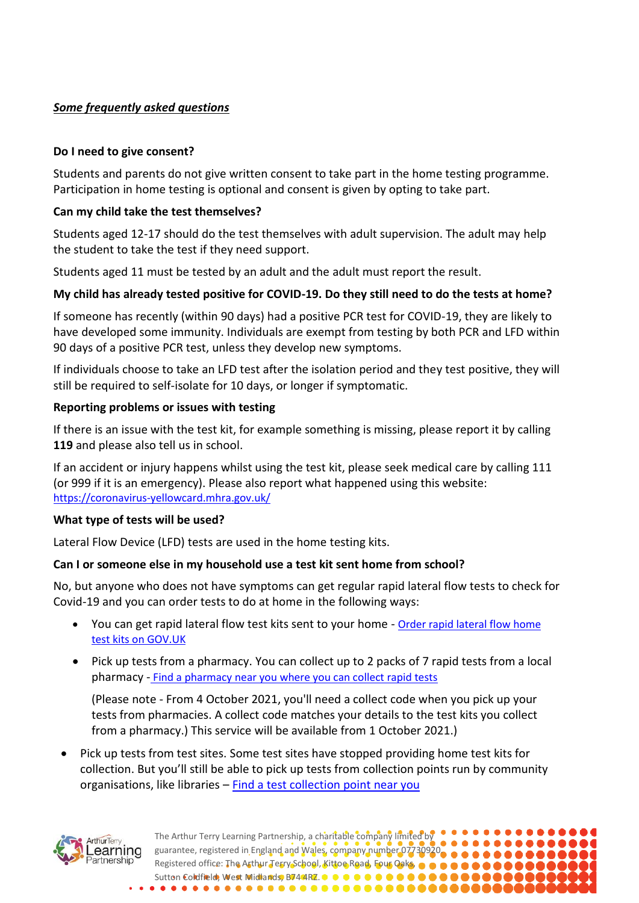# *Some frequently asked questions*

# **Do I need to give consent?**

Students and parents do not give written consent to take part in the home testing programme. Participation in home testing is optional and consent is given by opting to take part.

# **Can my child take the test themselves?**

Students aged 12-17 should do the test themselves with adult supervision. The adult may help the student to take the test if they need support.

Students aged 11 must be tested by an adult and the adult must report the result.

# **My child has already tested positive for COVID-19. Do they still need to do the tests at home?**

If someone has recently (within 90 days) had a positive PCR test for COVID-19, they are likely to have developed some immunity. Individuals are exempt from testing by both PCR and LFD within 90 days of a positive PCR test, unless they develop new symptoms.

If individuals choose to take an LFD test after the isolation period and they test positive, they will still be required to self-isolate for 10 days, or longer if symptomatic.

# **Reporting problems or issues with testing**

If there is an issue with the test kit, for example something is missing, please report it by calling **119** and please also tell us in school.

If an accident or injury happens whilst using the test kit, please seek medical care by calling 111 (or 999 if it is an emergency). Please also report what happened using this website: <https://coronavirus-yellowcard.mhra.gov.uk/>

# **What type of tests will be used?**

Lateral Flow Device (LFD) tests are used in the home testing kits.

# **Can I or someone else in my household use a test kit sent home from school?**

No, but anyone who does not have symptoms can get regular rapid lateral flow tests to check for Covid-19 and you can order tests to do at home in the following ways:

- You can get rapid lateral flow test kits sent to your home [Order rapid lateral flow home](https://www.gov.uk/order-coronavirus-rapid-lateral-flow-tests)  [test kits on GOV.UK](https://www.gov.uk/order-coronavirus-rapid-lateral-flow-tests)
- Pick up tests from a pharmacy. You can collect up to 2 packs of 7 rapid tests from a local pharmacy - [Find a pharmacy near you where you can collect rapid tests](https://maps.test-and-trace.nhs.uk/)

(Please note - From 4 October 2021, you'll need a collect code when you pick up your tests from pharmacies. A collect code matches your details to the test kits you collect from a pharmacy.) This service will be available from 1 October 2021.)

• Pick up tests from test sites. Some test sites have stopped providing home test kits for collection. But you'll still be able to pick up tests from collection points run by community organisations, like libraries – [Find a test collection point near you](https://maps.test-and-trace.nhs.uk/)



The Arthur Terry Learning Partnership, a charitable company limited by guarantee, registered in England and Wales, company number 07730920. Registered office: The Arthur Terry School, Kittoe Road, Four Oaks,  $\bullet \bullet \bullet \bullet$ Sutton Coldfield, West Midlands, B74 4RZ.